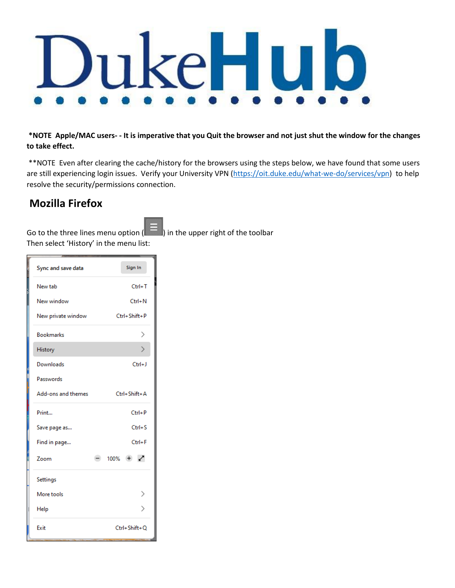

**\*NOTE Apple/MAC users- - It is imperative that you Quit the browser and not just shut the window for the changes to take effect.** 

\*\*NOTE Even after clearing the cache/history for the browsers using the steps below, we have found that some users are still experiencing login issues. Verify your University VPN [\(https://oit.duke.edu/what-we-do/services/vpn\)](https://oit.duke.edu/what-we-do/services/vpn) to help resolve the security/permissions connection.

# **Mozilla Firefox**

Go to the three lines menu option  $($   $)$  in the upper right of the toolbar Then select 'History' in the menu list:

| Sync and save data | Sign In                 |
|--------------------|-------------------------|
| New tab            | $Ctrl + T$              |
| New window         | $Ctrl + N$              |
| New private window | Ctrl+Shift+P            |
| <b>Bookmarks</b>   | ⋋                       |
| History            |                         |
| Downloads          | $Ctrl + J$              |
| Passwords          |                         |
| Add-ons and themes | Ctrl+Shift+A            |
| Print              | $Ctrl + P$              |
| Save page as       | $Ctrl + S$              |
| Find in page       | $Ctrl + F$              |
| Zoom               | $100\% + \swarrow$<br>- |
| <b>Settings</b>    |                         |
| More tools         |                         |
| Help               | ゝ                       |
| Exit               | Ctrl+Shift+O            |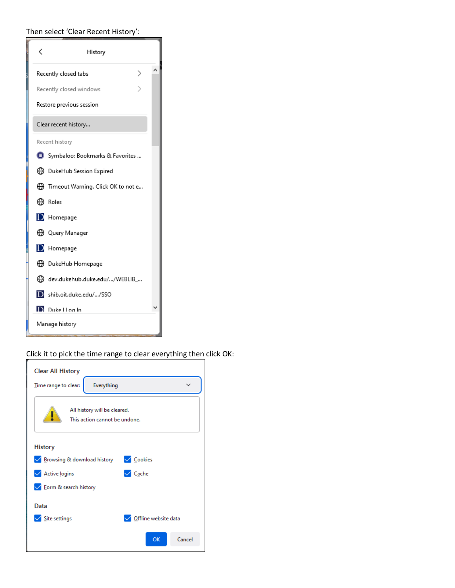### Then select 'Clear Recent History':

| く<br>History                                   |  |
|------------------------------------------------|--|
| Recently closed tabs                           |  |
| Recently closed windows                        |  |
| Restore previous session                       |  |
| Clear recent history                           |  |
| Recent history                                 |  |
| Symbaloo: Bookmarks & Favorites                |  |
| ⊕ DukeHub Session Expired                      |  |
| $\bigoplus$ Timeout Warning. Click OK to not e |  |
| <b>←</b> Roles                                 |  |
| D Homepage                                     |  |
| ⊕ Query Manager                                |  |
| $\mathbf{D}$ Homepage                          |  |
| <b>D</b> DukeHub Homepage                      |  |
| Gddev.dukehub.duke.edu//WEBLIB_                |  |
| b shib.oit.duke.edu//SSO                       |  |
| D.<br>Duke I Loa In                            |  |
| Manage history                                 |  |

## Click it to pick the time range to clear everything then click OK:

| <b>Clear All History</b>                                      |
|---------------------------------------------------------------|
| Everything<br>Time range to clear:                            |
| All history will be cleared.<br>This action cannot be undone. |
| <b>History</b>                                                |
| $\sqrt{\phantom{a}}$ Cookies<br>△ Browsing & download history |
| $\sqrt{\phantom{a}}$ Cache<br><b>√</b> Active logins          |
| <b>√</b> Form & search history                                |
| Data                                                          |
| $\angle$ Site settings<br>Offline website data                |
| Cancel<br>OK                                                  |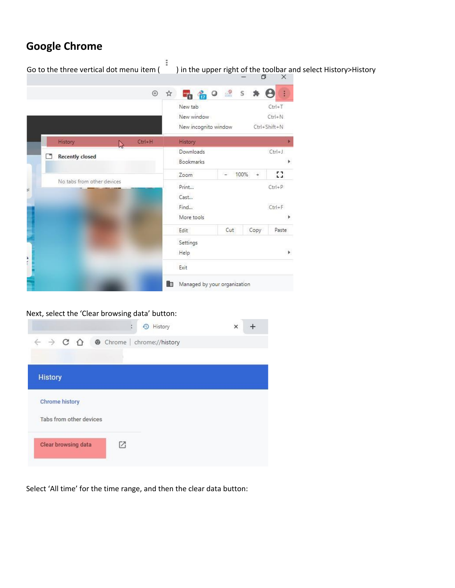# **Google Chrome**

 $\ddot{\phantom{0}}$ Go to the three vertical dot menu item ( ) in the upper right of the toolbar and select History>History<br>  $\Box$  $\begin{matrix} \oplus & \uparrow \uparrow \end{matrix}$  $\frac{1}{2}$  $\circ$  $\mathsf{S}$ ₩  $\boldsymbol{\Theta}$  $\frac{1}{2}$ **7 17** New tab  $Ctrl+T$ New window  $Ctrl + N$ Ctrl+Shift+N New incognito window  $Ctrl + H$ History History Ŋ Downloads  $Ctrl + J$ Recently closed Bookmarks k 53 Zoom Ľ, 100%  $\overline{+}$ No tabs from other devices Print...  $Ctrl + P$ hÌ Cast...  $\ensuremath{\mathsf{Find_m}}$  $Ctrl + F$ More tools Þ Cut Edit Copy Paste Settings Help þ Exit Managed by your organization

#### Next, select the 'Clear browsing data' button:

| History                                                                    | $\times$ |
|----------------------------------------------------------------------------|----------|
| $\leftarrow$ $\rightarrow$ C $\bigcap$ $\bullet$ Chrome   chrome://history |          |
|                                                                            |          |
| <b>History</b>                                                             |          |
| <b>Chrome history</b>                                                      |          |
| Tabs from other devices                                                    |          |
| Clear browsing data                                                        |          |
|                                                                            |          |

Select 'All time' for the time range, and then the clear data button: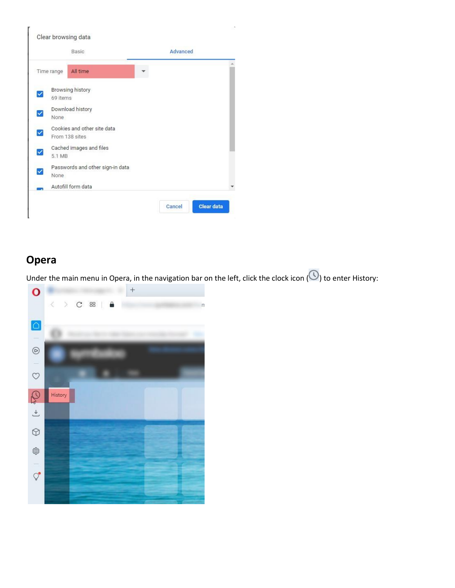

# **Opera**

Under the main menu in Opera, in the navigation bar on the left, click the clock icon  $\circledO$  to enter History:

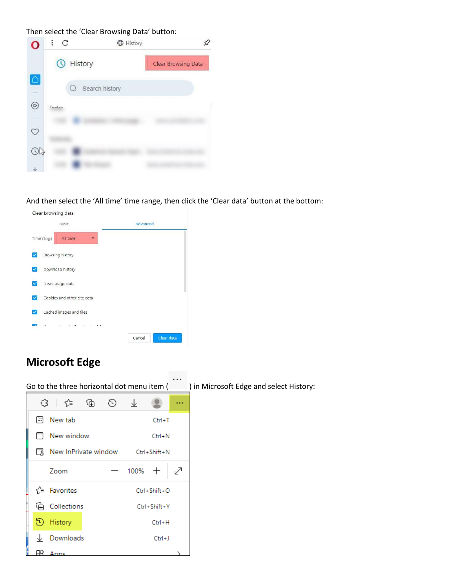Then select the 'Clear Browsing Data' button:

|                    | C     |                  | History |                     |
|--------------------|-------|------------------|---------|---------------------|
|                    | α     | History          |         | Clear Browsing Data |
| $\circ$            |       | Q Search history |         |                     |
| $\triangleright$   | Tadau |                  |         |                     |
| $\frac{1}{\infty}$ |       |                  |         |                     |
|                    |       |                  |         |                     |
|                    |       |                  |         |                     |
|                    |       |                  |         |                     |

And then select the 'All time' time range, then click the 'Clear data' button at the bottom:



# **Microsoft Edge**

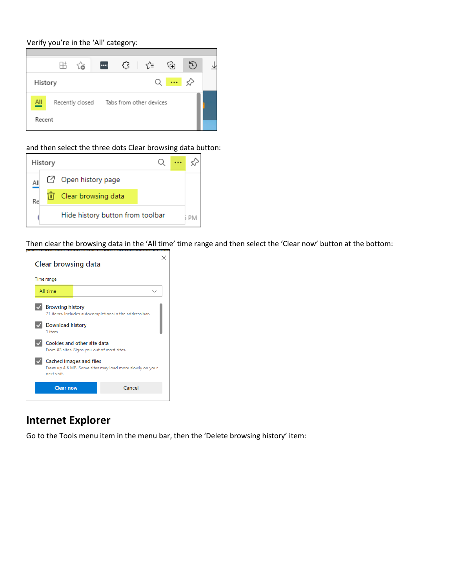Verify you're in the 'All' category:



#### and then select the three dots Clear browsing data button:



Then clear the browsing data in the 'All time' time range and then select the 'Clear now' button at the bottom:



### **Internet Explorer**

Go to the Tools menu item in the menu bar, then the 'Delete browsing history' item: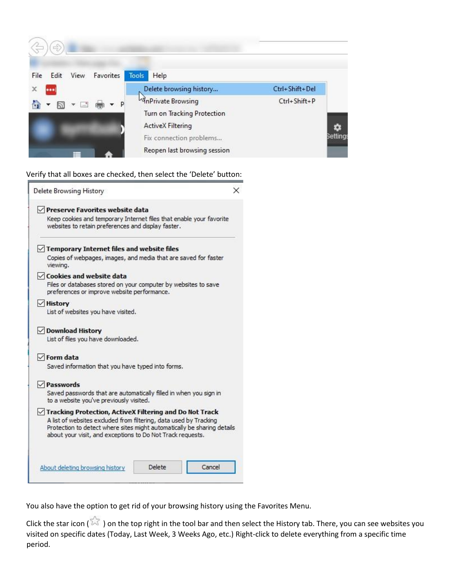

Verify that all boxes are checked, then select the 'Delete' button:

| Delete Browsing History                                                                                                                                                                                                                                                 | × |
|-------------------------------------------------------------------------------------------------------------------------------------------------------------------------------------------------------------------------------------------------------------------------|---|
| $\vee$ Preserve Favorites website data<br>Keep cookies and temporary Internet files that enable your favorite<br>websites to retain preferences and display faster.                                                                                                     |   |
| $\sqrt{}$ Temporary Internet files and website files<br>Copies of webpages, images, and media that are saved for faster<br>viewing.                                                                                                                                     |   |
| $\vee$ Cookies and website data<br>Files or databases stored on your computer by websites to save<br>preferences or improve website performance.                                                                                                                        |   |
| $\vee$ History<br>List of websites you have visited.                                                                                                                                                                                                                    |   |
| √ Download History<br>List of files you have downloaded.                                                                                                                                                                                                                |   |
| $\sqrt{}$ Form data<br>Saved information that you have typed into forms.                                                                                                                                                                                                |   |
| $\vee$ Passwords<br>Saved passwords that are automatically filled in when you sign in<br>to a website you've previously visited.                                                                                                                                        |   |
| √ Tracking Protection, ActiveX Filtering and Do Not Track<br>A list of websites excluded from filtering, data used by Tracking<br>Protection to detect where sites might automatically be sharing details<br>about your visit, and exceptions to Do Not Track requests. |   |
| Delete<br>Cancel<br>About deleting browsing history                                                                                                                                                                                                                     |   |

You also have the option to get rid of your browsing history using the Favorites Menu.

Click the star icon ( $\overline{\mathbb{X}}$ ) on the top right in the tool bar and then select the History tab. There, you can see websites you visited on specific dates (Today, Last Week, 3 Weeks Ago, etc.) Right-click to delete everything from a specific time period.